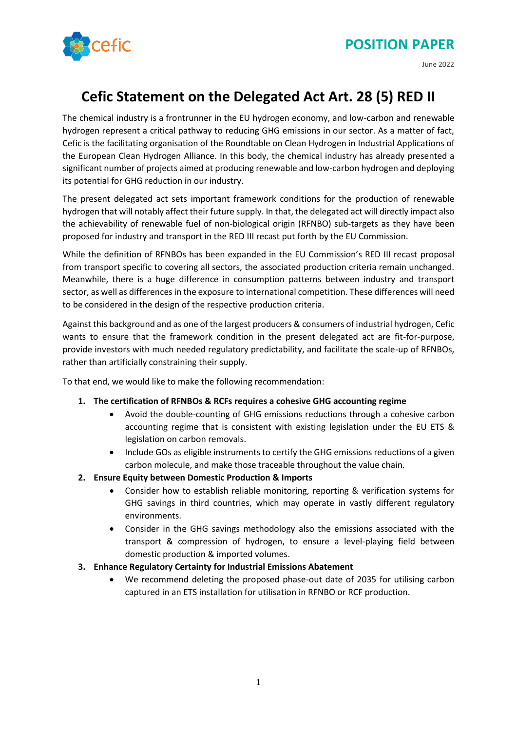

#### June 2022

# **Cefic Statement on the Delegated Act Art. 28 (5) RED II**

The chemical industry is a frontrunner in the EU hydrogen economy, and low-carbon and renewable hydrogen represent a critical pathway to reducing GHG emissions in our sector. As a matter of fact, Cefic is the facilitating organisation of the Roundtable on Clean Hydrogen in Industrial Applications of the European Clean Hydrogen Alliance. In this body, the chemical industry has already presented a significant number of projects aimed at producing renewable and low-carbon hydrogen and deploying its potential for GHG reduction in our industry.

The present delegated act sets important framework conditions for the production of renewable hydrogen that will notably affect their future supply. In that, the delegated act will directly impact also the achievability of renewable fuel of non-biological origin (RFNBO) sub-targets as they have been proposed for industry and transport in the RED III recast put forth by the EU Commission.

While the definition of RFNBOs has been expanded in the EU Commission's RED III recast proposal from transport specific to covering all sectors, the associated production criteria remain unchanged. Meanwhile, there is a huge difference in consumption patterns between industry and transport sector, as well as differences in the exposure to international competition. These differences will need to be considered in the design of the respective production criteria.

Against this background and as one of the largest producers & consumers of industrial hydrogen, Cefic wants to ensure that the framework condition in the present delegated act are fit-for-purpose, provide investors with much needed regulatory predictability, and facilitate the scale-up of RFNBOs, rather than artificially constraining their supply.

To that end, we would like to make the following recommendation:

- **1. The certification of RFNBOs & RCFs requires a cohesive GHG accounting regime**
	- Avoid the double-counting of GHG emissions reductions through a cohesive carbon accounting regime that is consistent with existing legislation under the EU ETS & legislation on carbon removals.
	- Include GOs as eligible instruments to certify the GHG emissions reductions of a given carbon molecule, and make those traceable throughout the value chain.
- **2. Ensure Equity between Domestic Production & Imports** 
	- Consider how to establish reliable monitoring, reporting & verification systems for GHG savings in third countries, which may operate in vastly different regulatory environments.
	- Consider in the GHG savings methodology also the emissions associated with the transport & compression of hydrogen, to ensure a level-playing field between domestic production & imported volumes.
- **3. Enhance Regulatory Certainty for Industrial Emissions Abatement**
	- We recommend deleting the proposed phase-out date of 2035 for utilising carbon captured in an ETS installation for utilisation in RFNBO or RCF production.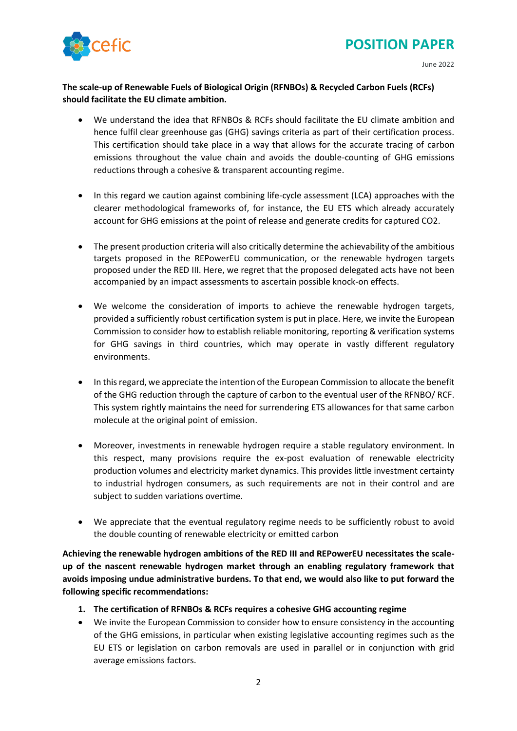# **POSITION PAPER**



June 2022

### **The scale-up of Renewable Fuels of Biological Origin (RFNBOs) & Recycled Carbon Fuels (RCFs) should facilitate the EU climate ambition.**

- We understand the idea that RFNBOs & RCFs should facilitate the EU climate ambition and hence fulfil clear greenhouse gas (GHG) savings criteria as part of their certification process. This certification should take place in a way that allows for the accurate tracing of carbon emissions throughout the value chain and avoids the double-counting of GHG emissions reductions through a cohesive & transparent accounting regime.
- In this regard we caution against combining life-cycle assessment (LCA) approaches with the clearer methodological frameworks of, for instance, the EU ETS which already accurately account for GHG emissions at the point of release and generate credits for captured CO2.
- The present production criteria will also critically determine the achievability of the ambitious targets proposed in the REPowerEU communication, or the renewable hydrogen targets proposed under the RED III. Here, we regret that the proposed delegated acts have not been accompanied by an impact assessments to ascertain possible knock-on effects.
- We welcome the consideration of imports to achieve the renewable hydrogen targets, provided a sufficiently robust certification system is put in place. Here, we invite the European Commission to consider how to establish reliable monitoring, reporting & verification systems for GHG savings in third countries, which may operate in vastly different regulatory environments.
- In this regard, we appreciate the intention of the European Commission to allocate the benefit of the GHG reduction through the capture of carbon to the eventual user of the RFNBO/ RCF. This system rightly maintains the need for surrendering ETS allowances for that same carbon molecule at the original point of emission.
- Moreover, investments in renewable hydrogen require a stable regulatory environment. In this respect, many provisions require the ex-post evaluation of renewable electricity production volumes and electricity market dynamics. This provides little investment certainty to industrial hydrogen consumers, as such requirements are not in their control and are subject to sudden variations overtime.
- We appreciate that the eventual regulatory regime needs to be sufficiently robust to avoid the double counting of renewable electricity or emitted carbon

**Achieving the renewable hydrogen ambitions of the RED III and REPowerEU necessitates the scaleup of the nascent renewable hydrogen market through an enabling regulatory framework that avoids imposing undue administrative burdens. To that end, we would also like to put forward the following specific recommendations:**

- **1. The certification of RFNBOs & RCFs requires a cohesive GHG accounting regime**
- We invite the European Commission to consider how to ensure consistency in the accounting of the GHG emissions, in particular when existing legislative accounting regimes such as the EU ETS or legislation on carbon removals are used in parallel or in conjunction with grid average emissions factors.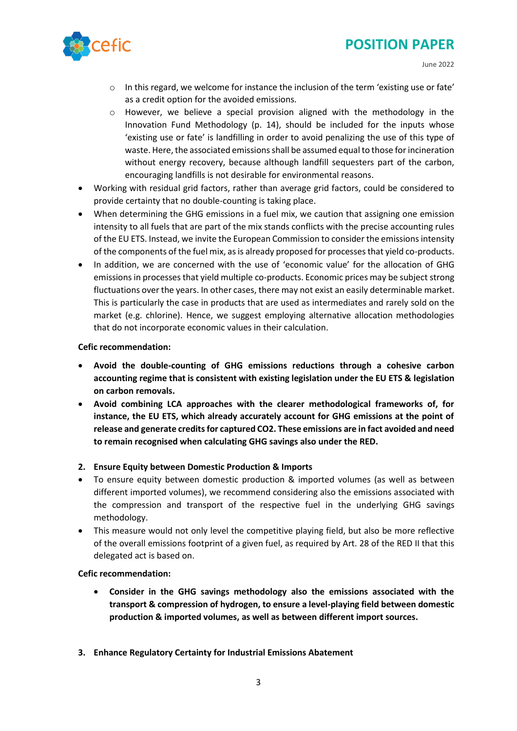

- o In this regard, we welcome for instance the inclusion of the term 'existing use or fate' as a credit option for the avoided emissions.
- $\circ$  However, we believe a special provision aligned with the methodology in the Innovation Fund Methodology (p. 14), should be included for the inputs whose 'existing use or fate' is landfilling in order to avoid penalizing the use of this type of waste. Here, the associated emissions shall be assumed equal to those for incineration without energy recovery, because although landfill sequesters part of the carbon, encouraging landfills is not desirable for environmental reasons.
- Working with residual grid factors, rather than average grid factors, could be considered to provide certainty that no double-counting is taking place.
- When determining the GHG emissions in a fuel mix, we caution that assigning one emission intensity to all fuels that are part of the mix stands conflicts with the precise accounting rules of the EU ETS. Instead, we invite the European Commission to consider the emissions intensity of the components of the fuel mix, as is already proposed for processes that yield co-products.
- In addition, we are concerned with the use of 'economic value' for the allocation of GHG emissions in processes that yield multiple co-products. Economic prices may be subject strong fluctuations over the years. In other cases, there may not exist an easily determinable market. This is particularly the case in products that are used as intermediates and rarely sold on the market (e.g. chlorine). Hence, we suggest employing alternative allocation methodologies that do not incorporate economic values in their calculation.

#### **Cefic recommendation:**

- **Avoid the double-counting of GHG emissions reductions through a cohesive carbon accounting regime that is consistent with existing legislation under the EU ETS & legislation on carbon removals.**
- **Avoid combining LCA approaches with the clearer methodological frameworks of, for instance, the EU ETS, which already accurately account for GHG emissions at the point of release and generate credits for captured CO2. These emissions are in fact avoided and need to remain recognised when calculating GHG savings also under the RED.**

### **2. Ensure Equity between Domestic Production & Imports**

- To ensure equity between domestic production & imported volumes (as well as between different imported volumes), we recommend considering also the emissions associated with the compression and transport of the respective fuel in the underlying GHG savings methodology.
- This measure would not only level the competitive playing field, but also be more reflective of the overall emissions footprint of a given fuel, as required by Art. 28 of the RED II that this delegated act is based on.

#### **Cefic recommendation:**

- **Consider in the GHG savings methodology also the emissions associated with the transport & compression of hydrogen, to ensure a level-playing field between domestic production & imported volumes, as well as between different import sources.**
- **3. Enhance Regulatory Certainty for Industrial Emissions Abatement**